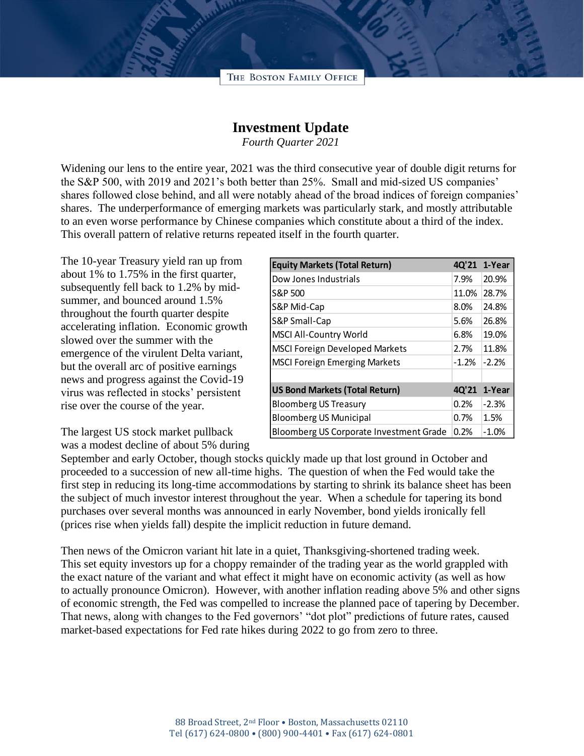

## **Investment Update**

*Fourth Quarter 2021*

Widening our lens to the entire year, 2021 was the third consecutive year of double digit returns for the S&P 500, with 2019 and 2021's both better than 25%. Small and mid-sized US companies' shares followed close behind, and all were notably ahead of the broad indices of foreign companies' shares. The underperformance of emerging markets was particularly stark, and mostly attributable to an even worse performance by Chinese companies which constitute about a third of the index. This overall pattern of relative returns repeated itself in the fourth quarter.

The 10-year Treasury yield ran up from about 1% to 1.75% in the first quarter, subsequently fell back to 1.2% by midsummer, and bounced around 1.5% throughout the fourth quarter despite accelerating inflation. Economic growth slowed over the summer with the emergence of the virulent Delta variant, but the overall arc of positive earnings news and progress against the Covid-19 virus was reflected in stocks' persistent rise over the course of the year.

The largest US stock market pullback was a modest decline of about 5% during

| <b>Equity Markets (Total Return)</b>    | 4Q'21   | 1-Year  |
|-----------------------------------------|---------|---------|
| Dow Jones Industrials                   | 7.9%    | 20.9%   |
| S&P 500                                 | 11.0%   | 28.7%   |
| S&P Mid-Cap                             | 8.0%    | 24.8%   |
| S&P Small-Cap                           | 5.6%    | 26.8%   |
| <b>MSCI All-Country World</b>           | 6.8%    | 19.0%   |
| <b>MSCI Foreign Developed Markets</b>   | 2.7%    | 11.8%   |
| <b>MSCI Foreign Emerging Markets</b>    | $-1.2%$ | $-2.2%$ |
|                                         |         |         |
| <b>US Bond Markets (Total Return)</b>   | 4Q'21   | 1-Year  |
| <b>Bloomberg US Treasury</b>            | 0.2%    | $-2.3%$ |
| <b>Bloomberg US Municipal</b>           | 0.7%    | 1.5%    |
| Bloomberg US Corporate Investment Grade | 0.2%    | $-1.0%$ |

September and early October, though stocks quickly made up that lost ground in October and proceeded to a succession of new all-time highs. The question of when the Fed would take the first step in reducing its long-time accommodations by starting to shrink its balance sheet has been the subject of much investor interest throughout the year. When a schedule for tapering its bond purchases over several months was announced in early November, bond yields ironically fell (prices rise when yields fall) despite the implicit reduction in future demand.

Then news of the Omicron variant hit late in a quiet, Thanksgiving-shortened trading week. This set equity investors up for a choppy remainder of the trading year as the world grappled with the exact nature of the variant and what effect it might have on economic activity (as well as how to actually pronounce Omicron). However, with another inflation reading above 5% and other signs of economic strength, the Fed was compelled to increase the planned pace of tapering by December. That news, along with changes to the Fed governors' "dot plot" predictions of future rates, caused market-based expectations for Fed rate hikes during 2022 to go from zero to three.